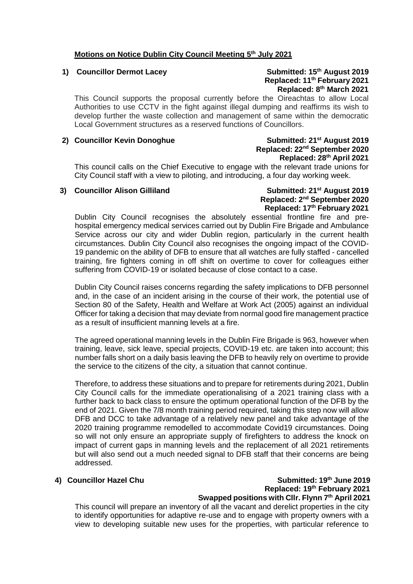### **Motions on Notice Dublin City Council Meeting 5 th July 2021**

### 1) **Councillor Dermot Lacey** Submitted: 15<sup>th</sup> August 2019  **Replaced: 11th February 2021 Replaced: 8th March 2021**

This Council supports the proposal currently before the Oireachtas to allow Local Authorities to use CCTV in the fight against illegal dumping and reaffirms its wish to develop further the waste collection and management of same within the democratic Local Government structures as a reserved functions of Councillors.

### 2) **Councillor Kevin Donoghue** Submitted:  $21^{st}$  **August 2019**

## **Replaced: 22nd September 2020 Replaced: 28th April 2021**

This council calls on the Chief Executive to engage with the relevant trade unions for City Council staff with a view to piloting, and introducing, a four day working week.

### **3)** Councillor Alison Gilliland Submitted: 21<sup>st</sup> August 2019

## **Replaced: 2nd September 2020 Replaced: 17th February 2021**

Dublin City Council recognises the absolutely essential frontline fire and prehospital emergency medical services carried out by Dublin Fire Brigade and Ambulance Service across our city and wider Dublin region, particularly in the current health circumstances. Dublin City Council also recognises the ongoing impact of the COVID-19 pandemic on the ability of DFB to ensure that all watches are fully staffed - cancelled training, fire fighters coming in off shift on overtime to cover for colleagues either suffering from COVID-19 or isolated because of close contact to a case.

Dublin City Council raises concerns regarding the safety implications to DFB personnel and, in the case of an incident arising in the course of their work, the potential use of Section 80 of the Safety, Health and Welfare at Work Act (2005) against an individual Officer for taking a decision that may deviate from normal good fire management practice as a result of insufficient manning levels at a fire.

The agreed operational manning levels in the Dublin Fire Brigade is 963, however when training, leave, sick leave, special projects, COVID-19 etc. are taken into account; this number falls short on a daily basis leaving the DFB to heavily rely on overtime to provide the service to the citizens of the city, a situation that cannot continue.

Therefore, to address these situations and to prepare for retirements during 2021, Dublin City Council calls for the immediate operationalising of a 2021 training class with a further back to back class to ensure the optimum operational function of the DFB by the end of 2021. Given the 7/8 month training period required, taking this step now will allow DFB and DCC to take advantage of a relatively new panel and take advantage of the 2020 training programme remodelled to accommodate Covid19 circumstances. Doing so will not only ensure an appropriate supply of firefighters to address the knock on impact of current gaps in manning levels and the replacement of all 2021 retirements but will also send out a much needed signal to DFB staff that their concerns are being addressed.

### 4) Councillor Hazel Chu **Submitted: 19<sup>th</sup> June 2019 Submitted: 19<sup>th</sup> June 2019 Replaced: 19th February 2021 Swapped positions with Cllr. Flynn 7th April 2021**

This council will prepare an inventory of all the vacant and derelict properties in the city to identify opportunities for adaptive re-use and to engage with property owners with a view to developing suitable new uses for the properties, with particular reference to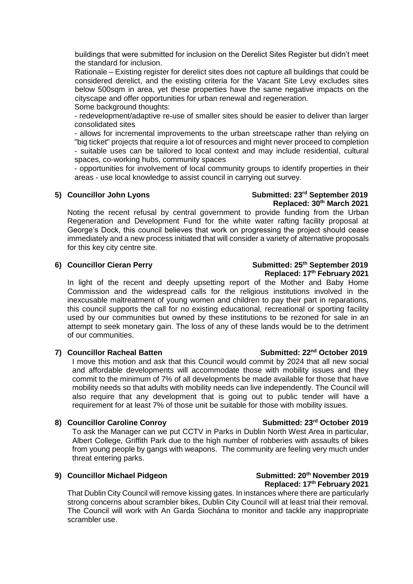buildings that were submitted for inclusion on the Derelict Sites Register but didn't meet the standard for inclusion.

Rationale – Existing register for derelict sites does not capture all buildings that could be considered derelict, and the existing criteria for the Vacant Site Levy excludes sites below 500sqm in area, yet these properties have the same negative impacts on the cityscape and offer opportunities for urban renewal and regeneration. Some background thoughts:

- redevelopment/adaptive re-use of smaller sites should be easier to deliver than larger consolidated sites

- allows for incremental improvements to the urban streetscape rather than relying on "big ticket" projects that require a lot of resources and might never proceed to completion - suitable uses can be tailored to local context and may include residential, cultural spaces, co-working hubs, community spaces

- opportunities for involvement of local community groups to identify properties in their areas - use local knowledge to assist council in carrying out survey.

### **5) Councillor John Lyons Submitted: 23rd September 2019 Replaced: 30th March 2021**

Noting the recent refusal by central government to provide funding from the Urban Regeneration and Development Fund for the white water rafting facility proposal at George's Dock, this council believes that work on progressing the project should cease immediately and a new process initiated that will consider a variety of alternative proposals for this key city centre site.

### **6)** Councillor Cieran Perry Submitted: 25<sup>th</sup> September 2019  **Replaced: 17th February 2021**

In light of the recent and deeply upsetting report of the Mother and Baby Home Commission and the widespread calls for the religious institutions involved in the inexcusable maltreatment of young women and children to pay their part in reparations, this council supports the call for no existing educational, recreational or sporting facility used by our communities but owned by these institutions to be rezoned for sale in an attempt to seek monetary gain. The loss of any of these lands would be to the detriment of our communities.

### 7) **Councillor Racheal Batten Submitted: 22<sup>nd</sup> October 2019**

I move this motion and ask that this Council would commit by 2024 that all new social and affordable developments will accommodate those with mobility issues and they commit to the minimum of 7% of all developments be made available for those that have mobility needs so that adults with mobility needs can live independently. The Council will also require that any development that is going out to public tender will have a requirement for at least 7% of those unit be suitable for those with mobility issues.

### 8) **Councillor Caroline Conroy Submitted: 23<sup>rd</sup> October 2019**

To ask the Manager can we put CCTV in Parks in Dublin North West Area in particular, Albert College, Griffith Park due to the high number of robberies with assaults of bikes from young people by gangs with weapons. The community are feeling very much under threat entering parks.

### **9) Councillor Michael Pidgeon Submitted: 20th November 2019 Replaced: 17th February 2021**

That Dublin City Council will remove kissing gates. In instances where there are particularly strong concerns about scrambler bikes, Dublin City Council will at least trial their removal. The Council will work with An Garda Siochána to monitor and tackle any inappropriate scrambler use.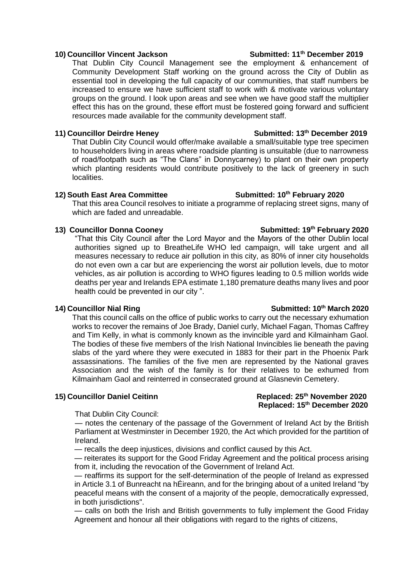### **10) Councillor Vincent Jackson Submitted: 11th December 2019**

That Dublin City Council Management see the employment & enhancement of Community Development Staff working on the ground across the City of Dublin as essential tool in developing the full capacity of our communities, that staff numbers be increased to ensure we have sufficient staff to work with & motivate various voluntary groups on the ground. I look upon areas and see when we have good staff the multiplier effect this has on the ground, these effort must be fostered going forward and sufficient resources made available for the community development staff.

### 11) **Councillor Deirdre Heney Submitted: 13<sup>th</sup> December 2019**

That Dublin City Council would offer/make available a small/suitable type tree specimen to householders living in areas where roadside planting is unsuitable (due to narrowness of road/footpath such as "The Clans" in Donnycarney) to plant on their own property which planting residents would contribute positively to the lack of greenery in such localities.

### **12) South East Area Committee Submitted: 10th February 2020**

That this area Council resolves to initiate a programme of replacing street signs, many of which are faded and unreadable.

### **13)** Councillor Donna Cooney **Submitted: 19<sup>th</sup> February 2020**

"That this City Council after the Lord Mayor and the Mayors of the other Dublin local authorities signed up to BreatheLife WHO led campaign, will take urgent and all measures necessary to reduce air pollution in this city, as 80% of inner city households do not even own a car but are experiencing the worst air pollution levels, due to motor vehicles, as air pollution is according to WHO figures leading to 0.5 million worlds wide deaths per year and Irelands EPA estimate 1,180 premature deaths many lives and poor health could be prevented in our city ".

That this council calls on the office of public works to carry out the necessary exhumation works to recover the remains of Joe Brady, Daniel curly, Michael Fagan, Thomas Caffrey and Tim Kelly, in what is commonly known as the invincible yard and Kilmainham Gaol. The bodies of these five members of the Irish National Invincibles lie beneath the paving slabs of the yard where they were executed in 1883 for their part in the Phoenix Park assassinations. The families of the five men are represented by the National graves Association and the wish of the family is for their relatives to be exhumed from Kilmainham Gaol and reinterred in consecrated ground at Glasnevin Cemetery.

### **15) Councillor Daniel Ceitinn Replaced: 25th November 2020 Replaced: 15th December 2020**

That Dublin City Council:

— notes the centenary of the passage of the Government of Ireland Act by the British Parliament at Westminster in December 1920, the Act which provided for the partition of Ireland.

— recalls the deep injustices, divisions and conflict caused by this Act.

— reiterates its support for the Good Friday Agreement and the political process arising from it, including the revocation of the Government of Ireland Act.

— reaffirms its support for the self-determination of the people of Ireland as expressed in Article 3.1 of Bunreacht na hÉireann, and for the bringing about of a united Ireland "by peaceful means with the consent of a majority of the people, democratically expressed, in both jurisdictions".

— calls on both the Irish and British governments to fully implement the Good Friday Agreement and honour all their obligations with regard to the rights of citizens,

### 14) Councillor Nial Ring Submitted: 10<sup>th</sup> March 2020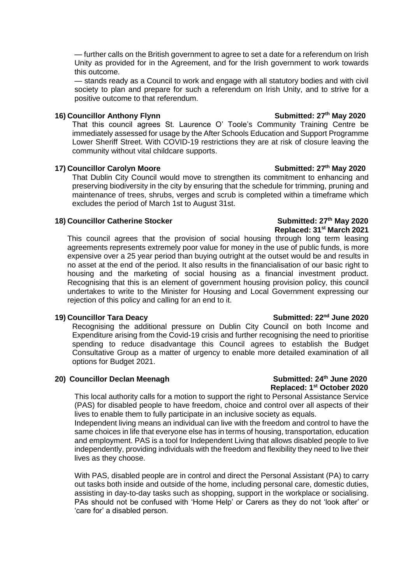— further calls on the British government to agree to set a date for a referendum on Irish Unity as provided for in the Agreement, and for the Irish government to work towards this outcome.

— stands ready as a Council to work and engage with all statutory bodies and with civil society to plan and prepare for such a referendum on Irish Unity, and to strive for a positive outcome to that referendum.

### **16)** Councillor Anthony Flynn Submitted: 27<sup>th</sup> May 2020

That this council agrees St. Laurence O' Toole's Community Training Centre be immediately assessed for usage by the After Schools Education and Support Programme Lower Sheriff Street. With COVID-19 restrictions they are at risk of closure leaving the community without vital childcare supports.

### **17) Councillor Carolyn Moore Submitted: 27th May 2020**

That Dublin City Council would move to strengthen its commitment to enhancing and preserving biodiversity in the city by ensuring that the schedule for trimming, pruning and maintenance of trees, shrubs, verges and scrub is completed within a timeframe which excludes the period of March 1st to August 31st.

### **18)** Councillor Catherine Stocker Submitted: 27<sup>th</sup> May 2020

This council agrees that the provision of social housing through long term leasing agreements represents extremely poor value for money in the use of public funds, is more expensive over a 25 year period than buying outright at the outset would be and results in no asset at the end of the period. It also results in the financialisation of our basic right to housing and the marketing of social housing as a financial investment product. Recognising that this is an element of government housing provision policy, this council undertakes to write to the Minister for Housing and Local Government expressing our rejection of this policy and calling for an end to it.

Recognising the additional pressure on Dublin City Council on both Income and Expenditure arising from the Covid-19 crisis and further recognising the need to prioritise spending to reduce disadvantage this Council agrees to establish the Budget Consultative Group as a matter of urgency to enable more detailed examination of all options for Budget 2021.

### **20)** Councillor Declan Meenagh **Submitted: 24<sup>th</sup> June 2020**

# **Replaced: 1st October 2020**

This local authority calls for a motion to support the right to Personal Assistance Service (PAS) for disabled people to have freedom, choice and control over all aspects of their lives to enable them to fully participate in an inclusive society as equals.

Independent living means an individual can live with the freedom and control to have the same choices in life that everyone else has in terms of housing, transportation, education and employment. PAS is a tool for Independent Living that allows disabled people to live independently, providing individuals with the freedom and flexibility they need to live their lives as they choose.

With PAS, disabled people are in control and direct the Personal Assistant (PA) to carry out tasks both inside and outside of the home, including personal care, domestic duties, assisting in day-to-day tasks such as shopping, support in the workplace or socialising. PAs should not be confused with 'Home Help' or Carers as they do not 'look after' or 'care for' a disabled person.

# **Replaced: 31st March 2021**

### 19) Councillor Tara Deacy **Submitted: 22<sup>nd</sup> June 2020**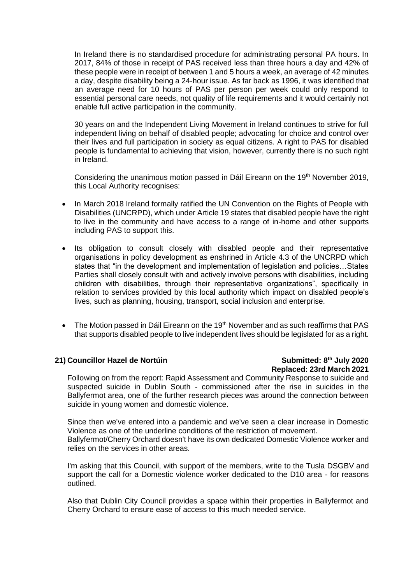In Ireland there is no standardised procedure for administrating personal PA hours. In 2017, 84% of those in receipt of PAS received less than three hours a day and 42% of these people were in receipt of between 1 and 5 hours a week, an average of 42 minutes a day, despite disability being a 24-hour issue. As far back as 1996, it was identified that an average need for 10 hours of PAS per person per week could only respond to essential personal care needs, not quality of life requirements and it would certainly not enable full active participation in the community.

30 years on and the Independent Living Movement in Ireland continues to strive for full independent living on behalf of disabled people; advocating for choice and control over their lives and full participation in society as equal citizens. A right to PAS for disabled people is fundamental to achieving that vision, however, currently there is no such right in Ireland.

Considering the unanimous motion passed in Dáil Eireann on the 19<sup>th</sup> November 2019, this Local Authority recognises:

- In March 2018 Ireland formally ratified the UN Convention on the Rights of People with Disabilities (UNCRPD), which under Article 19 states that disabled people have the right to live in the community and have access to a range of in-home and other supports including PAS to support this.
- Its obligation to consult closely with disabled people and their representative organisations in policy development as enshrined in Article 4.3 of the UNCRPD which states that "in the development and implementation of legislation and policies…States Parties shall closely consult with and actively involve persons with disabilities, including children with disabilities, through their representative organizations", specifically in relation to services provided by this local authority which impact on disabled people's lives, such as planning, housing, transport, social inclusion and enterprise.
- $\bullet$  The Motion passed in Dáil Eireann on the 19<sup>th</sup> November and as such reaffirms that PAS that supports disabled people to live independent lives should be legislated for as a right.

### **21)** Councillor Hazel de Nortúin **Submitted: 8<sup>th</sup> July 2020**

# **Replaced: 23rd March 2021**

Following on from the report: Rapid Assessment and Community Response to suicide and suspected suicide in Dublin South - commissioned after the rise in suicides in the Ballyfermot area, one of the further research pieces was around the connection between suicide in young women and domestic violence.

Since then we've entered into a pandemic and we've seen a clear increase in Domestic Violence as one of the underline conditions of the restriction of movement. Ballyfermot/Cherry Orchard doesn't have its own dedicated Domestic Violence worker and relies on the services in other areas.

I'm asking that this Council, with support of the members, write to the Tusla DSGBV and support the call for a Domestic violence worker dedicated to the D10 area - for reasons outlined.

Also that Dublin City Council provides a space within their properties in Ballyfermot and Cherry Orchard to ensure ease of access to this much needed service.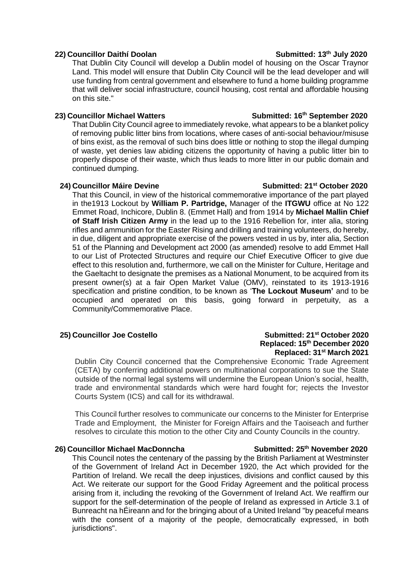### **22)** Councillor Daithí Doolan Submitted: 13<sup>th</sup> July 2020

That Dublin City Council will develop a Dublin model of housing on the Oscar Traynor Land. This model will ensure that Dublin City Council will be the lead developer and will use funding from central government and elsewhere to fund a home building programme that will deliver social infrastructure, council housing, cost rental and affordable housing on this site."

### **23) Councillor Michael Watters Submitted: 16th September 2020**

That Dublin City Council agree to immediately revoke, what appears to be a blanket policy of removing public litter bins from locations, where cases of anti-social behaviour/misuse of bins exist, as the removal of such bins does little or nothing to stop the illegal dumping of waste, yet denies law abiding citizens the opportunity of having a public litter bin to properly dispose of their waste, which thus leads to more litter in our public domain and continued dumping.

That this Council, in view of the historical commemorative importance of the part played in the1913 Lockout by **William P. Partridge,** Manager of the **ITGWU** office at No 122 Emmet Road, Inchicore, Dublin 8. (Emmet Hall) and from 1914 by **Michael Mallin Chief of Staff Irish Citizen Army** in the lead up to the 1916 Rebellion for, inter alia, storing rifles and ammunition for the Easter Rising and drilling and training volunteers, do hereby, in due, diligent and appropriate exercise of the powers vested in us by, inter alia, Section 51 of the Planning and Development act 2000 (as amended) resolve to add Emmet Hall to our List of Protected Structures and require our Chief Executive Officer to give due effect to this resolution and, furthermore, we call on the Minister for Culture, Heritage and the Gaeltacht to designate the premises as a National Monument, to be acquired from its present owner(s) at a fair Open Market Value (OMV), reinstated to its 1913-1916 specification and pristine condition, to be known as '**The Lockout Museum'** and to be occupied and operated on this basis, going forward in perpetuity, as a Community/Commemorative Place.

### **25) Councillor Joe Costello Submitted: 21st October 2020 Replaced: 15th December 2020 Replaced: 31st March 2021**

Dublin City Council concerned that the Comprehensive Economic Trade Agreement (CETA) by conferring additional powers on multinational corporations to sue the State outside of the normal legal systems will undermine the European Union's social, health, trade and environmental standards which were hard fought for; rejects the Investor Courts System (ICS) and call for its withdrawal.

This Council further resolves to communicate our concerns to the Minister for Enterprise Trade and Employment, the Minister for Foreign Affairs and the Taoiseach and further resolves to circulate this motion to the other City and County Councils in the country.

### **26) Councillor Michael MacDonncha Submitted: 25th November 2020**

This Council notes the centenary of the passing by the British Parliament at Westminster of the Government of Ireland Act in December 1920, the Act which provided for the Partition of Ireland. We recall the deep injustices, divisions and conflict caused by this Act. We reiterate our support for the Good Friday Agreement and the political process arising from it, including the revoking of the Government of Ireland Act. We reaffirm our support for the self-determination of the people of Ireland as expressed in Article 3.1 of Bunreacht na hÉireann and for the bringing about of a United Ireland "by peaceful means with the consent of a majority of the people, democratically expressed, in both jurisdictions".

### **24)** Councillor Máire Devine Submitted: 21<sup>st</sup> October 2020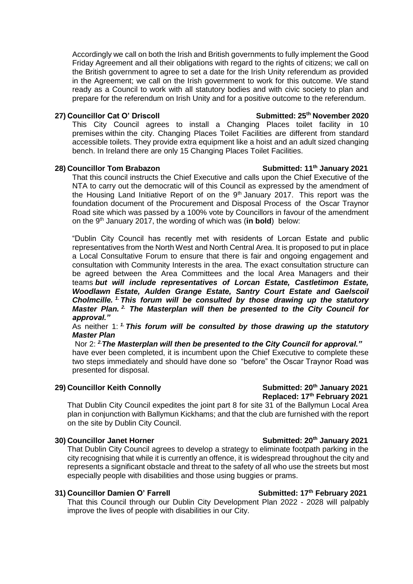Accordingly we call on both the Irish and British governments to fully implement the Good Friday Agreement and all their obligations with regard to the rights of citizens; we call on the British government to agree to set a date for the Irish Unity referendum as provided in the Agreement; we call on the Irish government to work for this outcome. We stand ready as a Council to work with all statutory bodies and with civic society to plan and prepare for the referendum on Irish Unity and for a positive outcome to the referendum.

### **27)** Councillor Cat O' Driscoll Submitted: 25<sup>th</sup> November 2020

This City Council agrees to install a Changing Places toilet facility in 10 premises within the city. Changing Places Toilet Facilities are different from standard accessible toilets. They provide extra equipment like a hoist and an adult sized changing bench. In Ireland there are only 15 Changing Places Toilet Facilities.

### **28) Councillor Tom Brabazon Submitted: 11th January 2021**

That this council instructs the Chief Executive and calls upon the Chief Executive of the NTA to carry out the democratic will of this Council as expressed by the amendment of the Housing Land Initiative Report of on the 9<sup>th</sup> January 2017. This report was the foundation document of the Procurement and Disposal Process of the Oscar Traynor Road site which was passed by a 100% vote by Councillors in favour of the amendment on the 9<sup>th</sup> January 2017, the wording of which was (in bold) below:

"Dublin City Council has recently met with residents of Lorcan Estate and public representatives from the North West and North Central Area. It is proposed to put in place a Local Consultative Forum to ensure that there is fair and ongoing engagement and consultation with Community Interests in the area. The exact consultation structure can be agreed between the Area Committees and the local Area Managers and their teams *but will include representatives of Lorcan Estate, Castletimon Estate, Woodlawn Estate, Aulden Grange Estate, Santry Court Estate and Gaelscoil Cholmcille. 1. This forum will be consulted by those drawing up the statutory Master Plan. 2. The Masterplan will then be presented to the City Council for approval."*

As neither 1: *1. This forum will be consulted by those drawing up the statutory Master Plan*

Nor 2: *2.The Masterplan will then be presented to the City Council for approval."* have ever been completed, it is incumbent upon the Chief Executive to complete these two steps immediately and should have done so "before" the Oscar Traynor Road was presented for disposal.

### **29)** Councillor Keith Connolly Submitted: 20<sup>th</sup> January 2021

## **Replaced: 17th February 2021**

That Dublin City Council expedites the joint part 8 for site 31 of the Ballymun Local Area plan in conjunction with Ballymun Kickhams; and that the club are furnished with the report on the site by Dublin City Council.

### **30)** Councillor Janet Horner Submitted: 20<sup>th</sup> January 2021

That Dublin City Council agrees to develop a strategy to eliminate footpath parking in the city recognising that while it is currently an offence, it is widespread throughout the city and represents a significant obstacle and threat to the safety of all who use the streets but most especially people with disabilities and those using buggies or prams.

### **31) Councillor Damien O' Farrell Submitted: 17<sup>th</sup> February 2021**

That this Council through our Dublin City Development Plan 2022 - 2028 will palpably improve the lives of people with disabilities in our City.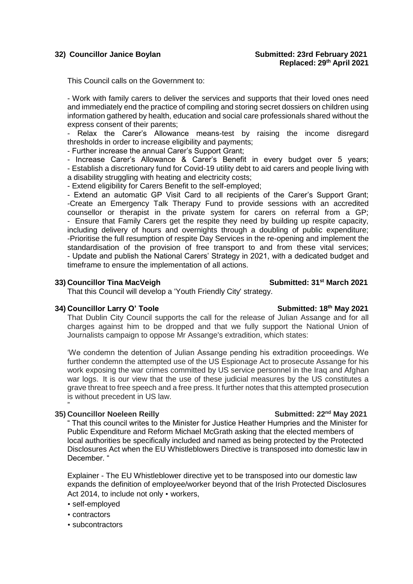This Council calls on the Government to:

- Work with family carers to deliver the services and supports that their loved ones need and immediately end the practice of compiling and storing secret dossiers on children using information gathered by health, education and social care professionals shared without the express consent of their parents;

- Relax the Carer's Allowance means-test by raising the income disregard thresholds in order to increase eligibility and payments;

- Further increase the annual Carer's Support Grant;

- Increase Carer's Allowance & Carer's Benefit in every budget over 5 years; - Establish a discretionary fund for Covid-19 utility debt to aid carers and people living with a disability struggling with heating and electricity costs;

- Extend eligibility for Carers Benefit to the self-employed;

- Extend an automatic GP Visit Card to all recipients of the Carer's Support Grant; -Create an Emergency Talk Therapy Fund to provide sessions with an accredited counsellor or therapist in the private system for carers on referral from a GP; - Ensure that Family Carers get the respite they need by building up respite capacity, including delivery of hours and overnights through a doubling of public expenditure; -Prioritise the full resumption of respite Day Services in the re-opening and implement the standardisation of the provision of free transport to and from these vital services; - Update and publish the National Carers' Strategy in 2021, with a dedicated budget and timeframe to ensure the implementation of all actions.

### **33)** Councillor Tina MacVeigh Submitted: 31<sup>st</sup> March 2021

That this Council will develop a 'Youth Friendly City' strategy.

### **34)** Councillor Larry O' Toole Submitted: 18<sup>th</sup> May 2021

That Dublin City Council supports the call for the release of Julian Assange and for all charges against him to be dropped and that we fully support the National Union of Journalists campaign to oppose Mr Assange's extradition, which states:

'We condemn the detention of Julian Assange pending his extradition proceedings. We further condemn the attempted use of the US Espionage Act to prosecute Assange for his work exposing the war crimes committed by US service personnel in the Iraq and Afghan war logs. It is our view that the use of these judicial measures by the US constitutes a grave threat to free speech and a free press. It further notes that this attempted prosecution is without precedent in US law.

### " **35)** Councillor Noeleen Reilly **Submitted: 22<sup>nd</sup> May 2021**

" That this council writes to the Minister for Justice Heather Humpries and the Minister for Public Expenditure and Reform Michael McGrath asking that the elected members of local authorities be specifically included and named as being protected by the Protected Disclosures Act when the EU Whistleblowers Directive is transposed into domestic law in December. "

Explainer - The EU Whistleblower directive yet to be transposed into our domestic law expands the definition of employee/worker beyond that of the Irish Protected Disclosures Act 2014, to include not only • workers,

### • self-employed

- contractors
- subcontractors